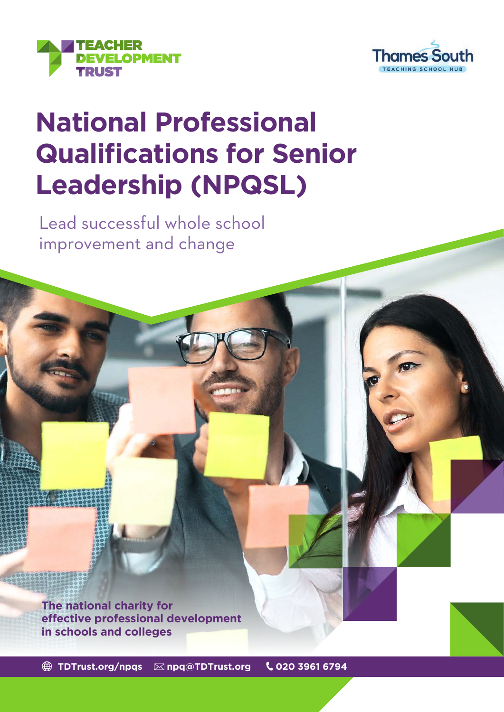



# **National Professional Qualifications for Senior Leadership (NPQSL)**

Lead successful whole school improvement and change

**The national charity for effective professional development in schools and colleges**

**[TDTrust.org/npqs](http://TDTrust.org/npqs) [npq@TDTrust.org](mailto:npq%40TDTrust.org?subject=) 020 3961 6794**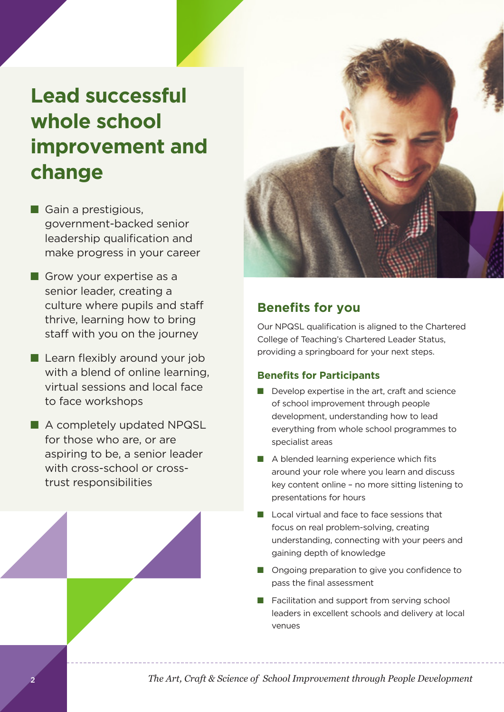## **Lead successful whole school improvement and change**

- $\blacksquare$  Gain a prestigious, government-backed senior leadership qualification and make progress in your career
- $\blacksquare$  Grow your expertise as a senior leader, creating a culture where pupils and staff thrive, learning how to bring staff with you on the journey
- $\blacksquare$  Learn flexibly around your job with a blend of online learning, virtual sessions and local face to face workshops
- A completely updated NPQSL for those who are, or are aspiring to be, a senior leader with cross-school or crosstrust responsibilities



## **Benefits for you**

Our NPQSL qualification is aligned to the Chartered College of Teaching's Chartered Leader Status, providing a springboard for your next steps.

#### **Benefits for Participants**

- $\blacksquare$  Develop expertise in the art, craft and science of school improvement through people development, understanding how to lead everything from whole school programmes to specialist areas
- $\blacksquare$  A blended learning experience which fits around your role where you learn and discuss key content online – no more sitting listening to presentations for hours
- $\blacksquare$  Local virtual and face to face sessions that focus on real problem-solving, creating understanding, connecting with your peers and gaining depth of knowledge
- Ongoing preparation to give you confidence to pass the final assessment
- Facilitation and support from serving school leaders in excellent schools and delivery at local venues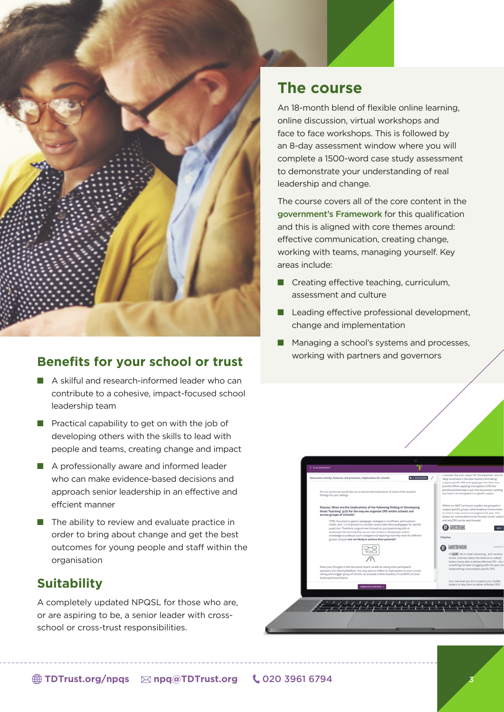

#### **Benefits for your school or trust**

- $\blacksquare$  A skilful and research-informed leader who can contribute to a cohesive, impact-focused school leadership team
- $\blacksquare$  Practical capability to get on with the job of developing others with the skills to lead with people and teams, creating change and impact
- $\blacksquare$  A professionally aware and informed leader who can make evidence-based decisions and approach senior leadership in an effective and effcient manner
- $\blacksquare$  The ability to review and evaluate practice in order to bring about change and get the best outcomes for young people and staff within the organisation

#### **Suitability**

A completely updated NPQSL for those who are, or are aspiring to be, a senior leader with crossschool or cross-trust responsibilities.

## **The course**

An 18-month blend of flexible online learning, online discussion, virtual workshops and face to face workshops. This is followed by an 8-day assessment window where you will complete a 1500-word case study assessment to demonstrate your understanding of real leadership and change.

The course covers all of the core content in the [government's Framework](https://assets.publishing.service.gov.uk/government/uploads/system/uploads/attachment_data/file/925512/NPQ_Senior_Leadership.pdf) for this qualification and this is aligned with core themes around: effective communication, creating change, working with teams, managing yourself. Key areas include:

- $\blacksquare$  Creating effective teaching, curriculum, assessment and culture
- $\blacksquare$  Leading effective professional development, change and implementation
- $\blacksquare$  Managing a school's systems and processes, working with partners and governors